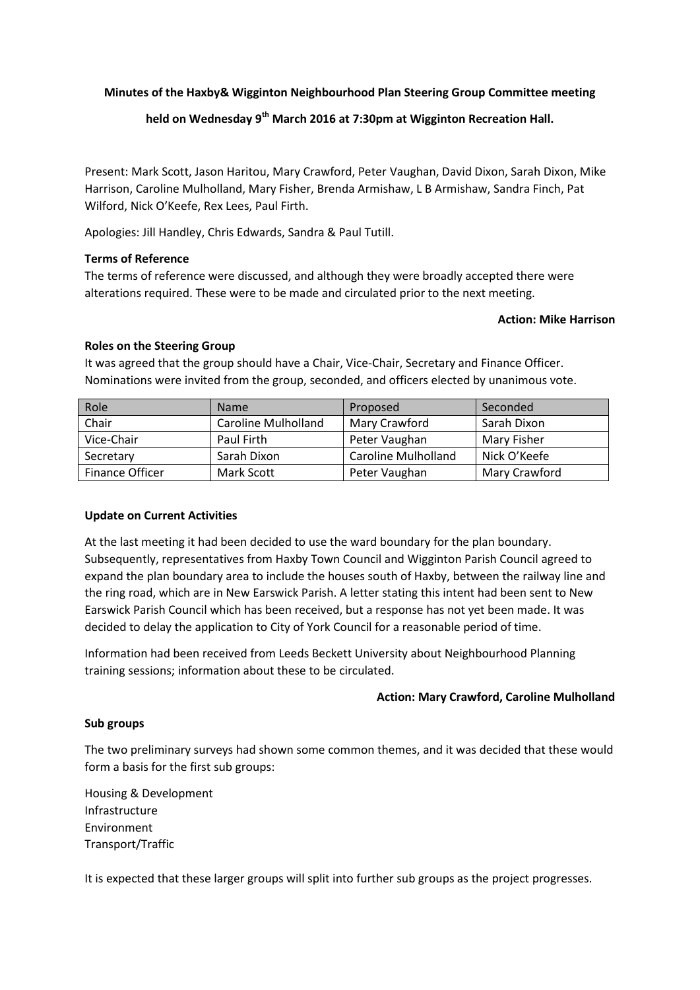## **Minutes of the Haxby& Wigginton Neighbourhood Plan Steering Group Committee meeting**

# **held on Wednesday 9th March 2016 at 7:30pm at Wigginton Recreation Hall.**

Present: Mark Scott, Jason Haritou, Mary Crawford, Peter Vaughan, David Dixon, Sarah Dixon, Mike Harrison, Caroline Mulholland, Mary Fisher, Brenda Armishaw, L B Armishaw, Sandra Finch, Pat Wilford, Nick O'Keefe, Rex Lees, Paul Firth.

Apologies: Jill Handley, Chris Edwards, Sandra & Paul Tutill.

## **Terms of Reference**

The terms of reference were discussed, and although they were broadly accepted there were alterations required. These were to be made and circulated prior to the next meeting.

#### **Action: Mike Harrison**

## **Roles on the Steering Group**

It was agreed that the group should have a Chair, Vice-Chair, Secretary and Finance Officer. Nominations were invited from the group, seconded, and officers elected by unanimous vote.

| Role            | <b>Name</b>                | Proposed                   | Seconded      |
|-----------------|----------------------------|----------------------------|---------------|
| Chair           | <b>Caroline Mulholland</b> | Mary Crawford              | Sarah Dixon   |
| Vice-Chair      | Paul Firth                 | Peter Vaughan              | Mary Fisher   |
| Secretary       | Sarah Dixon                | <b>Caroline Mulholland</b> | Nick O'Keefe  |
| Finance Officer | Mark Scott                 | Peter Vaughan              | Mary Crawford |

## **Update on Current Activities**

At the last meeting it had been decided to use the ward boundary for the plan boundary. Subsequently, representatives from Haxby Town Council and Wigginton Parish Council agreed to expand the plan boundary area to include the houses south of Haxby, between the railway line and the ring road, which are in New Earswick Parish. A letter stating this intent had been sent to New Earswick Parish Council which has been received, but a response has not yet been made. It was decided to delay the application to City of York Council for a reasonable period of time.

Information had been received from Leeds Beckett University about Neighbourhood Planning training sessions; information about these to be circulated.

## **Action: Mary Crawford, Caroline Mulholland**

## **Sub groups**

The two preliminary surveys had shown some common themes, and it was decided that these would form a basis for the first sub groups:

Housing & Development Infrastructure Environment Transport/Traffic

It is expected that these larger groups will split into further sub groups as the project progresses.